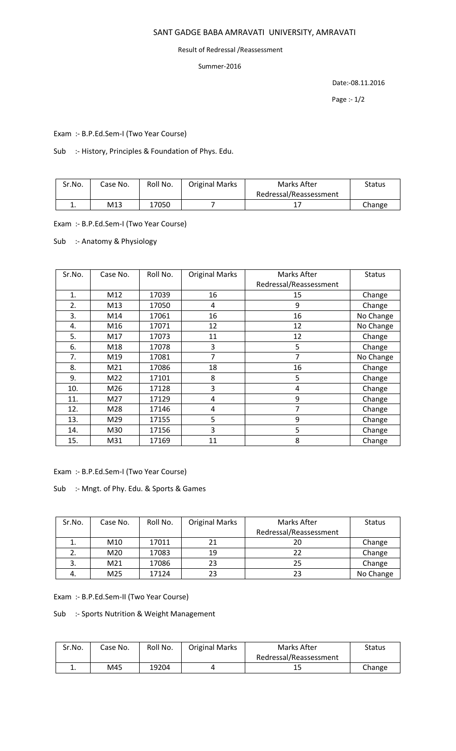# SANT GADGE BABA AMRAVATI UNIVERSITY, AMRAVATI

#### Result of Redressal /Reassessment

### Summer-2016

Date:-08.11.2016

Page :- 1/2

Exam :- B.P.Ed.Sem-I (Two Year Course)

Sub :- History, Principles & Foundation of Phys. Edu.

| Sr.No. | Case No. | Roll No. | <b>Original Marks</b> | Marks After            | Status |
|--------|----------|----------|-----------------------|------------------------|--------|
|        |          |          |                       | Redressal/Reassessment |        |
| . .    | M13      | 17050    |                       |                        | Change |

Exam :- B.P.Ed.Sem-I (Two Year Course)

Sub :- Anatomy & Physiology

| Sr.No. | Case No. | Roll No. | <b>Original Marks</b> | Marks After            | <b>Status</b> |
|--------|----------|----------|-----------------------|------------------------|---------------|
|        |          |          |                       | Redressal/Reassessment |               |
| 1.     | M12      | 17039    | 16                    | 15                     | Change        |
| 2.     | M13      | 17050    | 4                     | 9                      | Change        |
| 3.     | M14      | 17061    | 16                    | 16                     | No Change     |
| 4.     | M16      | 17071    | 12                    | 12                     | No Change     |
| 5.     | M17      | 17073    | 11                    | 12                     | Change        |
| 6.     | M18      | 17078    | 3                     | 5                      | Change        |
| 7.     | M19      | 17081    | 7                     | 7                      | No Change     |
| 8.     | M21      | 17086    | 18                    | 16                     | Change        |
| 9.     | M22      | 17101    | 8                     | 5                      | Change        |
| 10.    | M26      | 17128    | 3                     | 4                      | Change        |
| 11.    | M27      | 17129    | 4                     | 9                      | Change        |
| 12.    | M28      | 17146    | 4                     | 7                      | Change        |
| 13.    | M29      | 17155    | 5                     | 9                      | Change        |
| 14.    | M30      | 17156    | 3                     | 5                      | Change        |
| 15.    | M31      | 17169    | 11                    | 8                      | Change        |

Exam :- B.P.Ed.Sem-I (Two Year Course)

Sub :- Mngt. of Phy. Edu. & Sports & Games

| Sr.No. | Case No.        | Roll No. | <b>Original Marks</b> | Marks After            | <b>Status</b> |
|--------|-----------------|----------|-----------------------|------------------------|---------------|
|        |                 |          |                       | Redressal/Reassessment |               |
|        | M10             | 17011    | 21                    | 20                     | Change        |
|        | M20             | 17083    | 19                    | 22                     | Change        |
|        | M <sub>21</sub> | 17086    | 23                    | 25                     | Change        |
| 4.     | M25             | 17124    | 23                    | 23                     | No Change     |

Exam :- B.P.Ed.Sem-II (Two Year Course)

Sub :- Sports Nutrition & Weight Management

| Sr.No. | Case No. | Roll No. | <b>Original Marks</b> | Marks After            | Status |
|--------|----------|----------|-----------------------|------------------------|--------|
|        |          |          |                       | Redressal/Reassessment |        |
| . .    | M45      | 19204    |                       | ᅩ                      | Change |